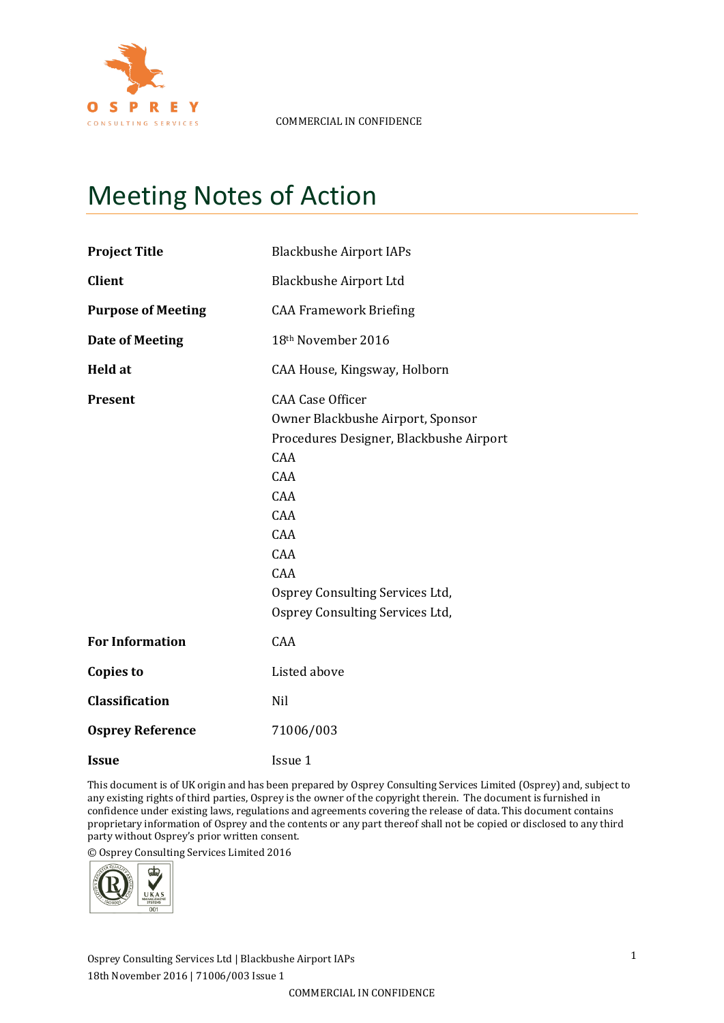

# Meeting Notes of Action

| <b>Project Title</b>      | <b>Blackbushe Airport IAPs</b>                                                                                                                                                                                                 |  |  |
|---------------------------|--------------------------------------------------------------------------------------------------------------------------------------------------------------------------------------------------------------------------------|--|--|
| <b>Client</b>             | <b>Blackbushe Airport Ltd</b>                                                                                                                                                                                                  |  |  |
| <b>Purpose of Meeting</b> | <b>CAA Framework Briefing</b>                                                                                                                                                                                                  |  |  |
| <b>Date of Meeting</b>    | 18th November 2016                                                                                                                                                                                                             |  |  |
| <b>Held at</b>            | CAA House, Kingsway, Holborn                                                                                                                                                                                                   |  |  |
| <b>Present</b>            | <b>CAA Case Officer</b><br>Owner Blackbushe Airport, Sponsor<br>Procedures Designer, Blackbushe Airport<br>CAA<br>CAA<br>CAA<br>CAA<br>CAA<br>CAA<br>CAA<br>Osprey Consulting Services Ltd,<br>Osprey Consulting Services Ltd, |  |  |
| <b>For Information</b>    | CAA                                                                                                                                                                                                                            |  |  |
| <b>Copies to</b>          | Listed above                                                                                                                                                                                                                   |  |  |
| <b>Classification</b>     | Nil                                                                                                                                                                                                                            |  |  |
| <b>Osprey Reference</b>   | 71006/003                                                                                                                                                                                                                      |  |  |
| <b>Issue</b>              | Issue 1                                                                                                                                                                                                                        |  |  |

This document is of UK origin and has been prepared by Osprey Consulting Services Limited (Osprey) and, subject to any existing rights of third parties, Osprey is the owner of the copyright therein. The document is furnished in confidence under existing laws, regulations and agreements covering the release of data. This document contains proprietary information of Osprey and the contents or any part thereof shall not be copied or disclosed to any third party without Osprey's prior written consent.

© Osprey Consulting Services Limited 2016



Osprey Consulting Services Ltd | Blackbushe Airport IAPs 18th November 2016 | 71006/003 Issue 1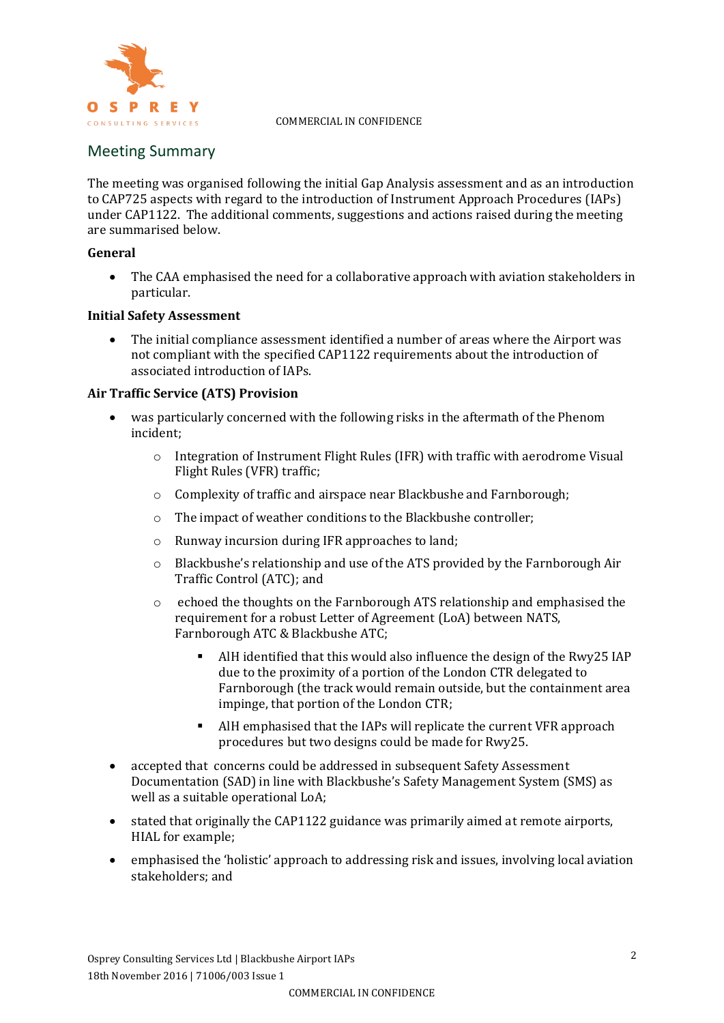

#### **COMMERCIAL IN CONFIDENCE**

# Meeting Summary

The meeting was organised following the initial Gap Analysis assessment and as an introduction to CAP725 aspects with regard to the introduction of Instrument Approach Procedures (IAPs) under CAP1122. The additional comments, suggestions and actions raised during the meeting are summarised below.

### **General**

 The CAA emphasised the need for a collaborative approach with aviation stakeholders in particular.

#### **Initial Safety Assessment**

 The initial compliance assessment identified a number of areas where the Airport was not compliant with the specified CAP1122 requirements about the introduction of associated introduction of IAPs.

#### **Air Traffic Service (ATS) Provision**

- was particularly concerned with the following risks in the aftermath of the Phenom incident;
	- o Integration of Instrument Flight Rules (IFR) with traffic with aerodrome Visual Flight Rules (VFR) traffic;
	- o Complexity of traffic and airspace near Blackbushe and Farnborough;
	- o The impact of weather conditions to the Blackbushe controller;
	- o Runway incursion during IFR approaches to land;
	- o Blackbushe's relationship and use of the ATS provided by the Farnborough Air Traffic Control (ATC); and
	- o echoed the thoughts on the Farnborough ATS relationship and emphasised the requirement for a robust Letter of Agreement (LoA) between NATS, Farnborough ATC & Blackbushe ATC;
		- AlH identified that this would also influence the design of the Rwy25 IAP due to the proximity of a portion of the London CTR delegated to Farnborough (the track would remain outside, but the containment area impinge, that portion of the London CTR;
		- AlH emphasised that the IAPs will replicate the current VFR approach procedures but two designs could be made for Rwy25.
- accepted that concerns could be addressed in subsequent Safety Assessment Documentation (SAD) in line with Blackbushe's Safety Management System (SMS) as well as a suitable operational LoA;
- stated that originally the CAP1122 guidance was primarily aimed at remote airports, HIAL for example;
- emphasised the 'holistic' approach to addressing risk and issues, involving local aviation stakeholders; and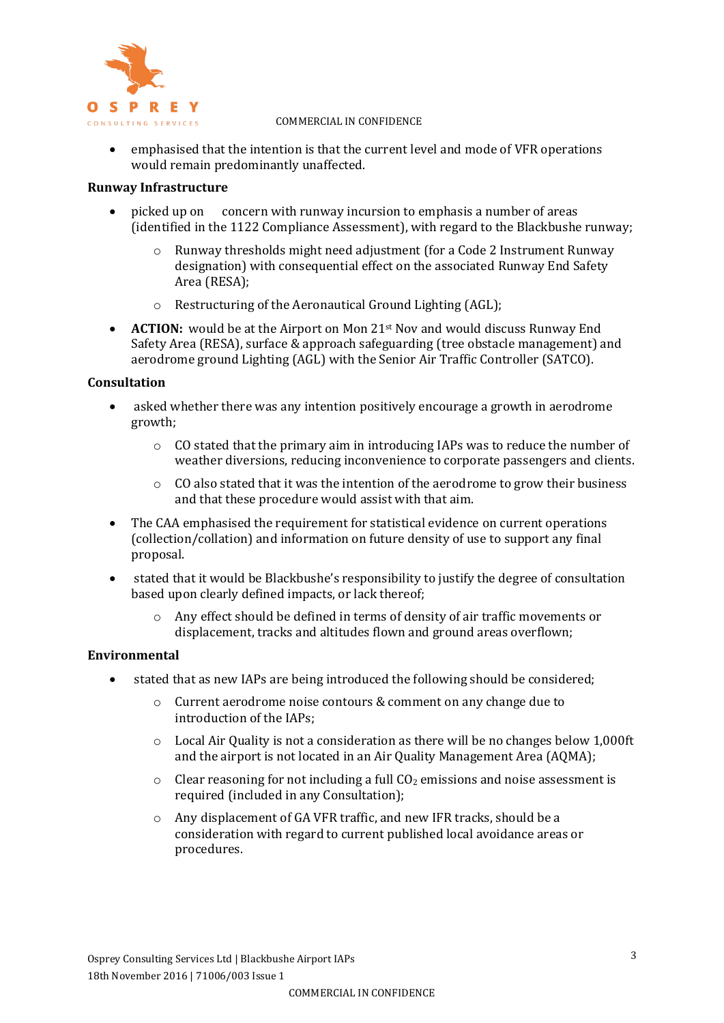

#### **COMMERCIAL IN CONFIDENCE**

 emphasised that the intention is that the current level and mode of VFR operations would remain predominantly unaffected.

#### **Runway Infrastructure**

- picked up on concern with runway incursion to emphasis a number of areas (identified in the 1122 Compliance Assessment), with regard to the Blackbushe runway;
	- $\circ$  Runway thresholds might need adjustment (for a Code 2 Instrument Runway designation) with consequential effect on the associated Runway End Safety Area (RESA);
	- o Restructuring of the Aeronautical Ground Lighting (AGL);
- **ACTION:** would be at the Airport on Mon 21<sup>st</sup> Nov and would discuss Runway End Safety Area (RESA), surface & approach safeguarding (tree obstacle management) and aerodrome ground Lighting (AGL) with the Senior Air Traffic Controller (SATCO).

#### **Consultation**

- asked whether there was any intention positively encourage a growth in aerodrome growth;
	- o CO stated that the primary aim in introducing IAPs was to reduce the number of weather diversions, reducing inconvenience to corporate passengers and clients.
	- $\circ$  CO also stated that it was the intention of the aerodrome to grow their business and that these procedure would assist with that aim.
- The CAA emphasised the requirement for statistical evidence on current operations (collection/collation) and information on future density of use to support any final proposal.
- stated that it would be Blackbushe's responsibility to justify the degree of consultation based upon clearly defined impacts, or lack thereof;
	- o Any effect should be defined in terms of density of air traffic movements or displacement, tracks and altitudes flown and ground areas overflown;

#### **Environmental**

- stated that as new IAPs are being introduced the following should be considered;
	- o Current aerodrome noise contours & comment on any change due to introduction of the IAPs;
	- $\circ$  Local Air Quality is not a consideration as there will be no changes below 1,000ft and the airport is not located in an Air Quality Management Area (AQMA);
	- $\circ$  Clear reasoning for not including a full CO<sub>2</sub> emissions and noise assessment is required (included in any Consultation);
	- o Any displacement of GA VFR traffic, and new IFR tracks, should be a consideration with regard to current published local avoidance areas or procedures.